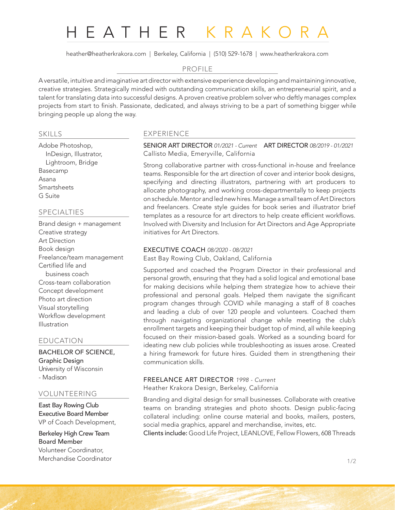# HEATHER KRAKORA

heather@heatherkrakora.com | Berkeley, California | (510) 529-1678 | www.heatherkrakora.com

## PROFILE

A versatile, intuitive and imaginative art director with extensive experience developing and maintaining innovative, creative strategies. Strategically minded with outstanding communication skills, an entrepreneurial spirit, and a talent for translating data into successful designs. A proven creative problem solver who deftly manages complex projects from start to finish. Passionate, dedicated, and always striving to be a part of something bigger while bringing people up along the way.

# SKILLS

Adobe Photoshop, InDesign, Illustrator, Lightroom, Bridge Basecamp Asana Smartsheets G Suite

# SPECIALTIES

Brand design + management Creative strategy Art Direction Book design Freelance/team management Certified life and business coach Cross-team collaboration Concept development Photo art direction Visual storytelling Workflow development Illustration

## EDUCATION

BACHELOR OF SCIENCE, Graphic Design University of Wisconsin - Madison

# VOLUNTEERING

East Bay Rowing Club Executive Board Member VP of Coach Development,

Berkeley High Crew Team Board Member Volunteer Coordinator, Merchandise Coordinator 2008 1/2

# EXPERIENCE

SENIOR ART DIRECTOR *01/2021 - Current* ART DIRECTOR *08/2019 - 01/2021* Callisto Media, Emeryville, California

Strong collaborative partner with cross-functional in-house and freelance teams. Responsible for the art direction of cover and interior book designs, specifying and directing illustrators, partnering with art producers to allocate photography, and working cross-departmentally to keep projects on schedule. Mentor and led new hires. Manage a small team of Art Directors and freelancers. Create style guides for book series and illustrator brief templates as a resource for art directors to help create efficient workflows. Involved with Diversity and Inclusion for Art Directors and Age Appropriate initiatives for Art Directors.

#### EXECUTIVE COACH *08/2020 - 08/2021*

East Bay Rowing Club, Oakland, California

Supported and coached the Program Director in their professional and personal growth, ensuring that they had a solid logical and emotional base for making decisions while helping them strategize how to achieve their professional and personal goals. Helped them navigate the significant program changes through COVID while managing a staff of 8 coaches and leading a club of over 120 people and volunteers. Coached them through navigating organizational change while meeting the club's enrollment targets and keeping their budget top of mind, all while keeping focused on their mission-based goals. Worked as a sounding board for ideating new club policies while troubleshooting as issues arose. Created a hiring framework for future hires. Guided them in strengthening their communication skills.

# FREELANCE ART DIRECTOR *1998 - Current*

Heather Krakora Design, Berkeley, California

Branding and digital design for small businesses. Collaborate with creative teams on branding strategies and photo shoots. Design public-facing collateral including: online course material and books, mailers, posters, social media graphics, apparel and merchandise, invites, etc.

Clients include: Good Life Project, LEANLOVE, Fellow Flowers, 608 Threads